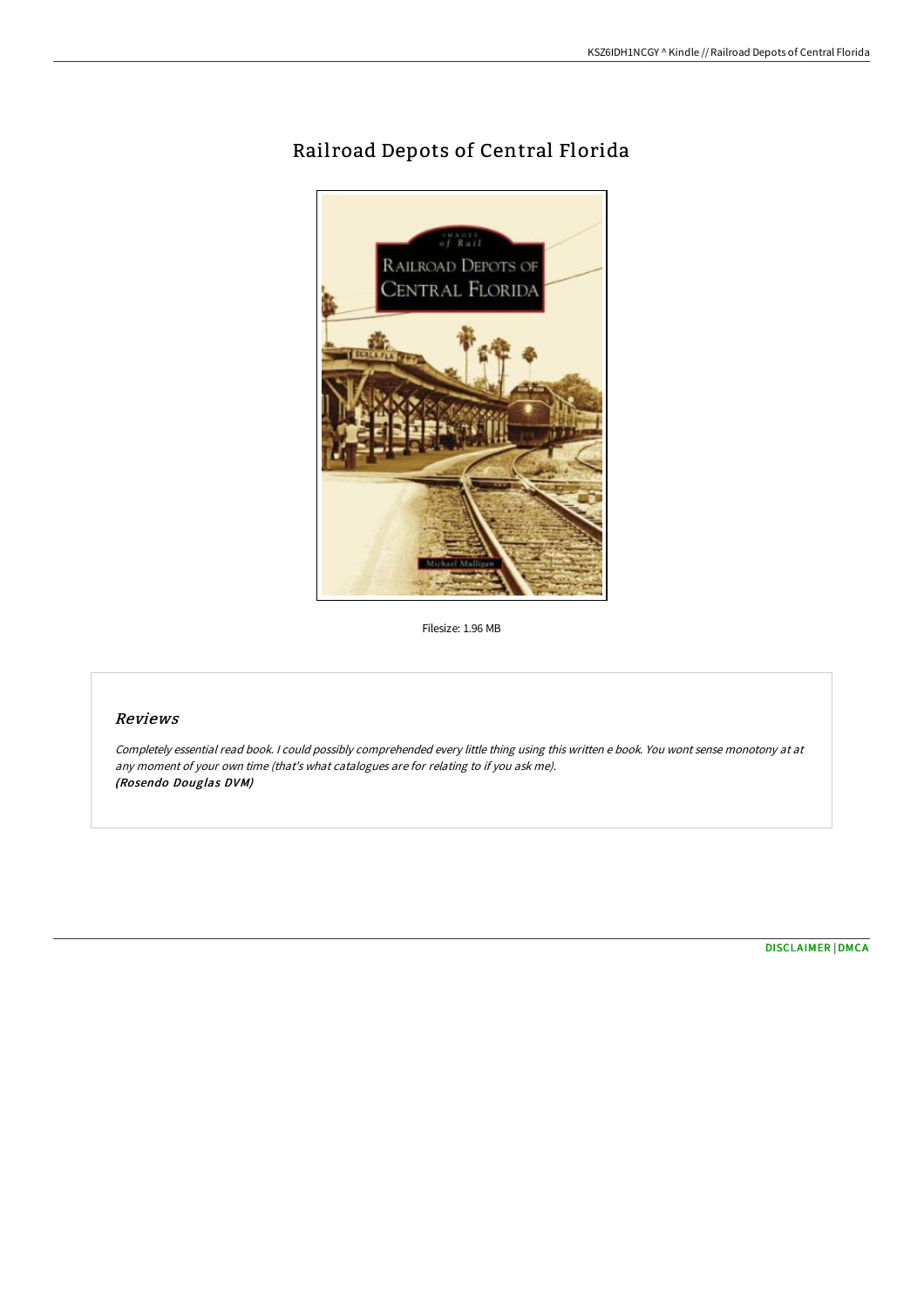# Rail road Depots of Central Florida



Filesize: 1.96 MB

## Reviews

Completely essential read book. I could possibly comprehended every little thing using this written <sup>e</sup> book. You wont sense monotony at at any moment of your own time (that's what catalogues are for relating to if you ask me). (Rosendo Douglas DVM)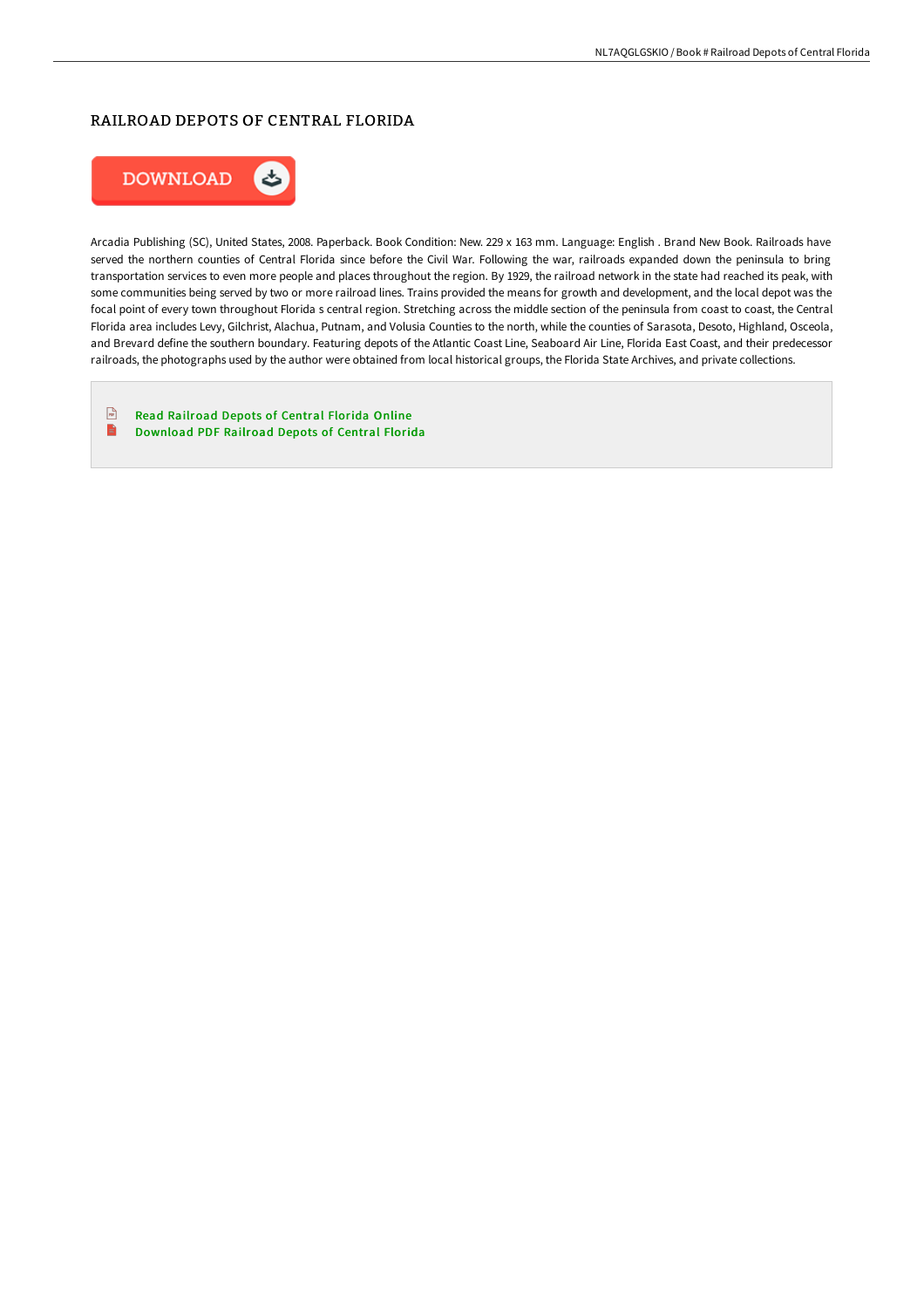#### RAILROAD DEPOTS OF CENTRAL FLORIDA



Arcadia Publishing (SC), United States, 2008. Paperback. Book Condition: New. 229 x 163 mm. Language: English . Brand New Book. Railroads have served the northern counties of Central Florida since before the Civil War. Following the war, railroads expanded down the peninsula to bring transportation services to even more people and places throughout the region. By 1929, the railroad network in the state had reached its peak, with some communities being served by two or more railroad lines. Trains provided the means for growth and development, and the local depot was the focal point of every town throughout Florida s central region. Stretching across the middle section of the peninsula from coast to coast, the Central Florida area includes Levy, Gilchrist, Alachua, Putnam, and Volusia Counties to the north, while the counties of Sarasota, Desoto, Highland, Osceola, and Brevard define the southern boundary. Featuring depots of the Atlantic Coast Line, Seaboard Air Line, Florida East Coast, and their predecessor railroads, the photographs used by the author were obtained from local historical groups, the Florida State Archives, and private collections.

 $\begin{array}{c}\n\hline\n\downarrow \\
\hline\n\end{array}$ Read [Railroad](http://digilib.live/railroad-depots-of-central-florida-paperback.html) Depots of Central Florida Online  $\blacksquare$ [Download](http://digilib.live/railroad-depots-of-central-florida-paperback.html) PDF Railroad Depots of Central Florida